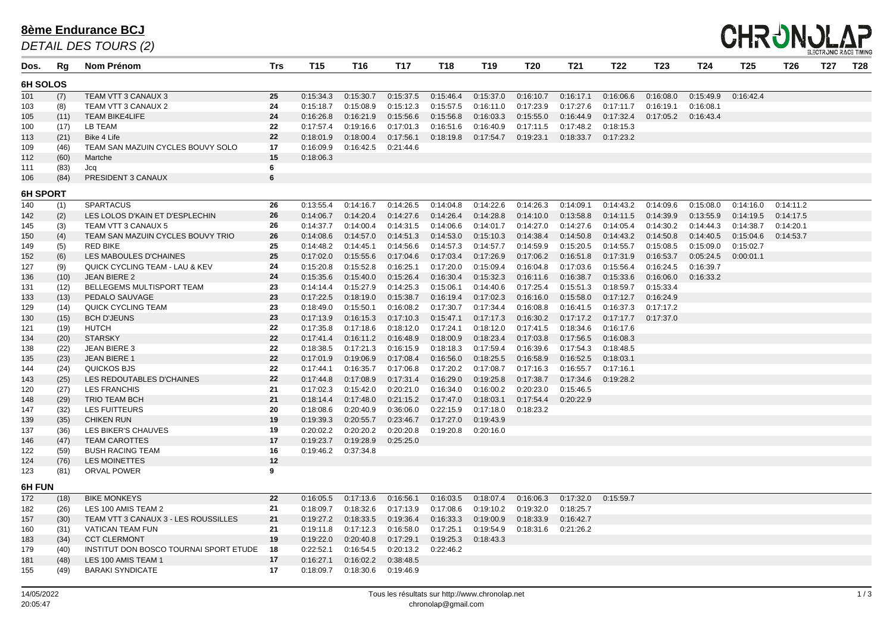| Dos.     | Rg              | <b>Nom Prénom</b>                         | <b>Trs</b>     | <b>T15</b>              | T <sub>16</sub>      | <b>T17</b> | T18                     | T <sub>19</sub> | T20                             | <b>T21</b> | T22       | <b>T23</b> | T <sub>24</sub> | T <sub>25</sub> | <b>T26</b> | T27 | <b>T28</b> |
|----------|-----------------|-------------------------------------------|----------------|-------------------------|----------------------|------------|-------------------------|-----------------|---------------------------------|------------|-----------|------------|-----------------|-----------------|------------|-----|------------|
| 6H SOLOS |                 |                                           |                |                         |                      |            |                         |                 |                                 |            |           |            |                 |                 |            |     |            |
| 101      | (7)             | TEAM VTT 3 CANAUX 3                       | 25             | 0:15:34.3               | 0:15:30.7            | 0:15:37.5  | 0:15:46.4               | 0:15:37.0       | 0:16:10.7                       | 0:16:17.1  | 0:16:06.6 | 0:16:08.0  | 0:15:49.9       | 0:16:42.4       |            |     |            |
| 103      | (8)             | TEAM VTT 3 CANAUX 2                       | 24             | 0:15:18.7               | 0:15:08.9            | 0:15:12.3  | 0:15:57.5               | 0:16:11.0       | 0:17:23.9                       | 0:17:27.6  | 0:17:11.7 | 0:16:19.1  | 0:16:08.1       |                 |            |     |            |
| 105      | (11)            | <b>TEAM BIKE4LIFE</b>                     | 24             | 0:16:26.8               | 0:16:21.9            | 0:15:56.6  | 0:15:56.8               | 0:16:03.3       | 0:15:55.0                       | 0:16:44.9  | 0:17:32.4 | 0:17:05.2  | 0:16:43.4       |                 |            |     |            |
| 100      | (17)            | LB TEAM                                   | 22             | 0:17:57.4               | 0:19:16.6            | 0:17:01.3  | 0:16:51.6               | 0:16:40.9       | 0:17:11.5                       | 0:17:48.2  | 0:18:15.3 |            |                 |                 |            |     |            |
| 113      | (21)            | Bike 4 Life                               | 22             | 0:18:01.9               | 0:18:00.4            | 0:17:56.1  | 0:18:19.8               | 0:17:54.7       | 0:19:23.1                       | 0:18:33.7  | 0:17:23.2 |            |                 |                 |            |     |            |
| 109      | (46)            | TEAM SAN MAZUIN CYCLES BOUVY SOLO         | 17             | 0:16:09.9               | 0:16:42.5            | 0:21:44.6  |                         |                 |                                 |            |           |            |                 |                 |            |     |            |
| 112      | (60)            | Martche                                   | 15             | 0:18:06.3               |                      |            |                         |                 |                                 |            |           |            |                 |                 |            |     |            |
| 111      | (83)            | Jcq                                       | 6              |                         |                      |            |                         |                 |                                 |            |           |            |                 |                 |            |     |            |
| 106      | (84)            | PRESIDENT 3 CANAUX                        | $6\phantom{1}$ |                         |                      |            |                         |                 |                                 |            |           |            |                 |                 |            |     |            |
|          | <b>6H SPORT</b> |                                           |                |                         |                      |            |                         |                 |                                 |            |           |            |                 |                 |            |     |            |
| 140      | (1)             | <b>SPARTACUS</b>                          | 26             | 0:13:55.4               | 0:14:16.7            | 0:14:26.5  | 0:14:04.8               | 0:14:22.6       | 0:14:26.3                       | 0:14:09.1  | 0:14:43.2 | 0:14:09.6  | 0:15:08.0       | 0:14:16.0       | 0:14:11.2  |     |            |
| 142      | (2)             | LES LOLOS D'KAIN ET D'ESPLECHIN           | 26             | 0:14:06.7               | 0:14:20.4            | 0:14:27.6  | 0:14:26.4               | 0:14:28.8       | 0:14:10.0                       | 0:13:58.8  | 0:14:11.5 | 0:14:39.9  | 0:13:55.9       | 0:14:19.5       | 0:14:17.5  |     |            |
| 145      | (3)             | TEAM VTT 3 CANAUX 5                       | 26             | 0:14:37.7               | 0:14:00.4            | 0:14:31.5  | 0:14:06.6               | 0:14:01.7       | 0:14:27.0                       | 0:14:27.6  | 0:14:05.4 | 0:14:30.2  | 0:14:44.3       | 0:14:38.7       | 0:14:20.1  |     |            |
| 150      | (4)             | TEAM SAN MAZUIN CYCLES BOUVY TRIO         | 26             | 0:14:08.6               | 0:14:57.0            | 0:14:51.3  | 0:14:53.0               | 0:15:10.3       | 0:14:38.4                       | 0:14:50.8  | 0:14:43.2 | 0:14:50.8  | 0:14:40.5       | 0:15:04.6       | 0:14:53.7  |     |            |
| 149      | (5)             | <b>RED BIKE</b>                           | 25             | 0:14:48.2               | 0:14:45.1            | 0:14:56.6  | 0:14:57.3               | 0:14:57.7       | 0:14:59.9                       | 0:15:20.5  | 0:14:55.7 | 0:15:08.5  | 0:15:09.0       | 0:15:02.7       |            |     |            |
| 152      | (6)             | LES MABOULES D'CHAINES                    | 25             | 0:17:02.0               | 0:15:55.6            | 0:17:04.6  | 0:17:03.4               | 0:17:26.9       | 0:17:06.2                       | 0:16:51.8  | 0:17:31.9 | 0:16:53.7  | 0:05:24.5       | 0:00:01.1       |            |     |            |
| 127      | (9)             | <b>QUICK CYCLING TEAM - LAU &amp; KEV</b> | 24             | 0:15:20.8               | 0:15:52.8            | 0:16:25.1  | 0:17:20.0               | 0:15:09.4       | 0:16:04.8                       | 0:17:03.6  | 0:15:56.4 | 0:16:24.5  | 0:16:39.7       |                 |            |     |            |
| 136      | (10)            | JEAN BIERE 2                              | 24             | 0:15:35.6               | 0:15:40.0            | 0:15:26.4  | 0:16:30.4               | 0:15:32.3       | 0:16:11.6                       | 0:16:38.7  | 0:15:33.6 | 0:16:06.0  | 0:16:33.2       |                 |            |     |            |
| 131      | (12)            | BELLEGEMS MULTISPORT TEAM                 | 23             | 0:14:14.4               | 0:15:27.9            | 0:14:25.3  | 0:15:06.1               | 0:14:40.6       | 0:17:25.4                       | 0:15:51.3  | 0:18:59.7 | 0:15:33.4  |                 |                 |            |     |            |
| 133      | (13)            | PEDALO SAUVAGE                            | 23             | 0:17:22.5               | 0:18:19.0            | 0:15:38.7  | 0:16:19.4               | 0:17:02.3       | 0:16:16.0                       | 0:15:58.0  | 0:17:12.7 | 0:16:24.9  |                 |                 |            |     |            |
| 129      | (14)            | <b>QUICK CYCLING TEAM</b>                 | 23             | 0:18:49.0               | 0:15:50.1            | 0:16:08.2  | 0:17:30.7               | 0:17:34.4       | 0:16:08.8                       | 0:16:41.5  | 0:16:37.3 | 0:17:17.2  |                 |                 |            |     |            |
| 130      | (15)            | <b>BCH D'JEUNS</b>                        | 23             | 0:17:13.9               | 0:16:15.3            | 0:17:10.3  | 0:15:47.1               | 0:17:17.3       | 0:16:30.2                       | 0:17:17.2  | 0:17:17.7 | 0:17:37.0  |                 |                 |            |     |            |
| 121      | (19)            | <b>HUTCH</b>                              | 22             | 0:17:35.8               | 0:17:18.6            | 0:18:12.0  | 0:17:24.1               | 0:18:12.0       | 0:17:41.5                       | 0:18:34.6  | 0:16:17.6 |            |                 |                 |            |     |            |
| 134      | (20)            | <b>STARSKY</b>                            | 22             | 0:17:41.4               | 0:16:11.2            | 0:16:48.9  | 0:18:00.9               | 0:18:23.4       | 0:17:03.8                       | 0:17:56.5  | 0:16:08.3 |            |                 |                 |            |     |            |
| 138      | (22)            | <b>JEAN BIERE 3</b>                       | 22             | 0:18:38.5               | 0:17:21.3            | 0:16:15.9  | 0:18:18.3               | 0:17:59.4       | 0:16:39.6                       | 0:17:54.3  | 0:18:48.5 |            |                 |                 |            |     |            |
| 135      | (23)            | JEAN BIERE 1                              | 22             | 0:17:01.9               | 0:19:06.9            | 0:17:08.4  | 0:16:56.0               | 0:18:25.5       | 0:16:58.9                       | 0:16:52.5  | 0:18:03.1 |            |                 |                 |            |     |            |
| 144      | (24)            | QUICKOS BJS                               | 22             | 0:17:44.1               | 0:16:35.7            | 0:17:06.8  | 0:17:20.2               | 0:17:08.7       | 0:17:16.3                       | 0:16:55.7  | 0:17:16.1 |            |                 |                 |            |     |            |
| 143      | (25)            | LES REDOUTABLES D'CHAINES                 | 22             | 0:17:44.8               | 0:17:08.9            | 0:17:31.4  | 0:16:29.0               | 0:19:25.8       | 0:17:38.7                       | 0:17:34.6  | 0:19:28.2 |            |                 |                 |            |     |            |
| 120      | (27)            | <b>LES FRANCHIS</b>                       | 21             | 0:17:02.3               | 0:15:42.0            | 0:20:21.0  | 0:16:34.0               | 0:16:00.2       | 0:20:23.0                       | 0:15:46.5  |           |            |                 |                 |            |     |            |
| 148      | (29)            | <b>TRIO TEAM BCH</b>                      | 21             | 0:18:14.4               | 0:17:48.0            |            | $0:21:15.2$ $0:17:47.0$ |                 | 0:18:03.1  0:17:54.4  0:20:22.9 |            |           |            |                 |                 |            |     |            |
| 147      | (32)            | LES FUITTEURS                             | 20             | 0:18:08.6               | 0:20:40.9            | 0:36:06.0  | 0:22:15.9               | 0:17:18.0       | 0:18:23.2                       |            |           |            |                 |                 |            |     |            |
| 139      | (35)            | <b>CHIKEN RUN</b>                         | 19             | 0:19:39.3               | 0:20:55.7            | 0:23:46.7  | 0:17:27.0               | 0:19:43.9       |                                 |            |           |            |                 |                 |            |     |            |
| 137      | (36)            | LES BIKER'S CHAUVES                       | 19             | 0:20:02.2               | 0:20:20.2            | 0:20:20.8  | 0:19:20.8               | 0:20:16.0       |                                 |            |           |            |                 |                 |            |     |            |
| 146      | (47)            | <b>TEAM CAROTTES</b>                      | 17             | 0:19:23.7               | 0:19:28.9            | 0:25:25.0  |                         |                 |                                 |            |           |            |                 |                 |            |     |            |
| 122      | (59)            | <b>BUSH RACING TEAM</b>                   | 16             | $0:19:46.2$ $0:37:34.8$ |                      |            |                         |                 |                                 |            |           |            |                 |                 |            |     |            |
| 124      | (76)            | LES MOINETTES                             | 12             |                         |                      |            |                         |                 |                                 |            |           |            |                 |                 |            |     |            |
| 123      | (81)            | ORVAL POWER                               | 9              |                         |                      |            |                         |                 |                                 |            |           |            |                 |                 |            |     |            |
| 6H FUN   |                 |                                           |                |                         |                      |            |                         |                 |                                 |            |           |            |                 |                 |            |     |            |
| 172      | (18)            | <b>BIKE MONKEYS</b>                       | 22             | 0:16:05.5               | 0:17:13.6            | 0:16:56.1  | 0:16:03.5               |                 | 0:18:07.4  0:16:06.3            | 0:17:32.0  | 0:15:59.7 |            |                 |                 |            |     |            |
| 182      | (26)            | LES 100 AMIS TEAM 2                       | 21             | 0:18:09.7               | 0:18:32.6            | 0:17:13.9  | 0:17:08.6               | 0:19:10.2       | 0:19:32.0                       | 0:18:25.7  |           |            |                 |                 |            |     |            |
| 157      | (30)            | TEAM VTT 3 CANAUX 3 - LES ROUSSILLES      | 21             | 0:19:27.2               | 0:18:33.5            | 0:19:36.4  | 0:16:33.3               | 0:19:00.9       | $0:18:33.9$ $0:16:42.7$         |            |           |            |                 |                 |            |     |            |
| 160      | (31)            | VATICAN TEAM FUN                          | 21             | 0:19:11.8               | 0:17:12.3            | 0:16:58.0  | 0:17:25.1               | 0:19:54.9       | $0:18:31.6$ $0:21:26.2$         |            |           |            |                 |                 |            |     |            |
| 183      | (34)            | <b>CCT CLERMONT</b>                       | 19             | 0:19:22.0               | 0:20:40.8            | 0:17:29.1  | 0:19:25.3               | 0:18:43.3       |                                 |            |           |            |                 |                 |            |     |            |
| 179      | (40)            | INSTITUT DON BOSCO TOURNAI SPORT ETUDE    | 18             | 0:22:52.1               | 0:16:54.5            | 0:20:13.2  | 0:22:46.2               |                 |                                 |            |           |            |                 |                 |            |     |            |
| 181      | (48)            | LES 100 AMIS TEAM 1                       | 17             | 0:16:27.1               | 0:16:02.2            | 0:38:48.5  |                         |                 |                                 |            |           |            |                 |                 |            |     |            |
| 155      | (49)            | <b>BARAKI SYNDICATE</b>                   | 17             | 0:18:09.7               | 0:18:30.6  0:19:46.9 |            |                         |                 |                                 |            |           |            |                 |                 |            |     |            |

### **8ème Endurance BCJ**

*DETAIL DES TOURS (2)*

# **CHRUNOLAP**

- 
-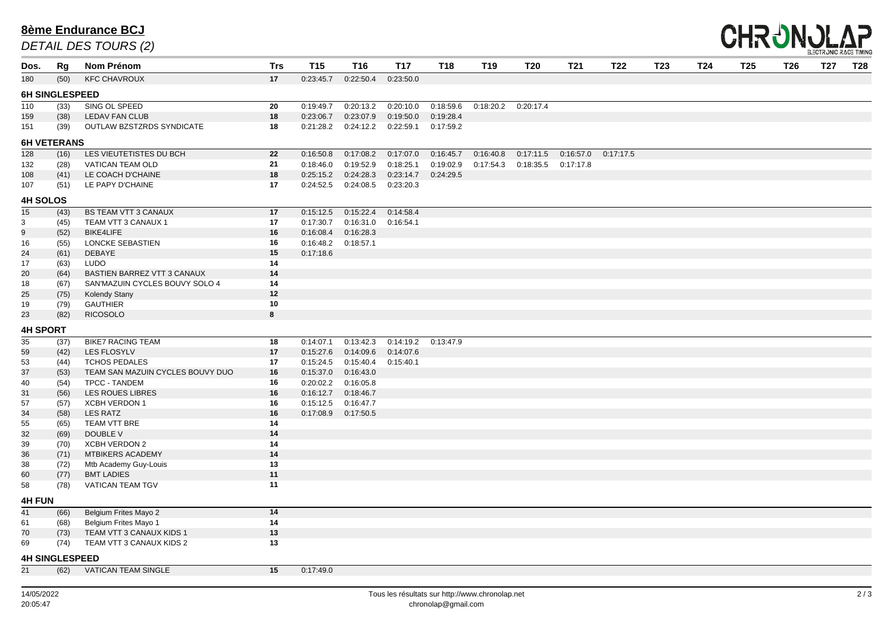| Dos.                  | Rg                    | Nom Prénom                       | <b>Trs</b> | <b>T15</b> | <b>T16</b>            | <b>T17</b> | <b>T18</b> | <b>T19</b> | <b>T20</b>              | <b>T21</b> | <b>T22</b> | <b>T23</b> | T24 | <b>T25</b> | <b>T26</b> | <b>T27</b> | <b>T28</b> |
|-----------------------|-----------------------|----------------------------------|------------|------------|-----------------------|------------|------------|------------|-------------------------|------------|------------|------------|-----|------------|------------|------------|------------|
| 180                   | (50)                  | <b>KFC CHAVROUX</b>              | 17         | 0:23:45.7  | 0:22:50.4             | 0:23:50.0  |            |            |                         |            |            |            |     |            |            |            |            |
|                       | <b>6H SINGLESPEED</b> |                                  |            |            |                       |            |            |            |                         |            |            |            |     |            |            |            |            |
| 110                   | (33)                  | SING OL SPEED                    | 20         | 0:19:49.7  | 0:20:13.2             | 0:20:10.0  | 0:18:59.6  | 0:18:20.2  | 0:20:17.4               |            |            |            |     |            |            |            |            |
| 159                   | (38)                  | <b>LEDAV FAN CLUB</b>            | 18         | 0:23:06.7  | 0:23:07.9             | 0:19:50.0  | 0:19:28.4  |            |                         |            |            |            |     |            |            |            |            |
| 151                   | (39)                  | OUTLAW BZSTZRDS SYNDICATE        | 18         | 0:21:28.2  | 0:24:12.2             | 0:22:59.1  | 0:17:59.2  |            |                         |            |            |            |     |            |            |            |            |
|                       | <b>6H VETERANS</b>    |                                  |            |            |                       |            |            |            |                         |            |            |            |     |            |            |            |            |
| 128                   | (16)                  | LES VIEUTETISTES DU BCH          | 22         | 0:16:50.8  | 0:17:08.2             | 0:17:07.0  | 0:16:45.7  | 0:16:40.8  | 0:17:11.5               | 0:16:57.0  | 0:17:17.5  |            |     |            |            |            |            |
| 132                   | (28)                  | VATICAN TEAM OLD                 | 21         | 0:18:46.0  | 0:19:52.9             | 0:18:25.1  | 0:19:02.9  | 0:17:54.3  | $0:18:35.5$ $0:17:17.8$ |            |            |            |     |            |            |            |            |
| 108                   | (41)                  | LE COACH D'CHAINE                | 18         | 0:25:15.2  | 0:24:28.3             | 0:23:14.7  | 0:24:29.5  |            |                         |            |            |            |     |            |            |            |            |
| 107                   | (51)                  | LE PAPY D'CHAINE                 | 17         | 0:24:52.5  | 0:24:08.5             | 0:23:20.3  |            |            |                         |            |            |            |     |            |            |            |            |
|                       |                       |                                  |            |            |                       |            |            |            |                         |            |            |            |     |            |            |            |            |
| <b>4H SOLOS</b><br>15 | (43)                  | <b>BS TEAM VTT 3 CANAUX</b>      | 17         | 0:15:12.5  | 0:15:22.4             | 0:14:58.4  |            |            |                         |            |            |            |     |            |            |            |            |
|                       | (45)                  | TEAM VTT 3 CANAUX 1              | 17         | 0:17:30.7  | 0:16:31.0             | 0:16:54.1  |            |            |                         |            |            |            |     |            |            |            |            |
| $\mathbf{3}$<br>9     | (52)                  | <b>BIKE4LIFE</b>                 | 16         | 0:16:08.4  | 0:16:28.3             |            |            |            |                         |            |            |            |     |            |            |            |            |
| 16                    | (55)                  | <b>LONCKE SEBASTIEN</b>          | 16         | 0:16:48.2  | 0:18:57.1             |            |            |            |                         |            |            |            |     |            |            |            |            |
| 24                    | (61)                  | DEBAYE                           | 15         | 0:17:18.6  |                       |            |            |            |                         |            |            |            |     |            |            |            |            |
| 17                    | (63)                  | LUDO                             | 14         |            |                       |            |            |            |                         |            |            |            |     |            |            |            |            |
| 20                    | (64)                  | BASTIEN BARREZ VTT 3 CANAUX      | 14         |            |                       |            |            |            |                         |            |            |            |     |            |            |            |            |
| 18                    | (67)                  | SAN'MAZUIN CYCLES BOUVY SOLO 4   | 14         |            |                       |            |            |            |                         |            |            |            |     |            |            |            |            |
| 25                    | (75)                  | <b>Kolendy Stany</b>             | 12         |            |                       |            |            |            |                         |            |            |            |     |            |            |            |            |
| 19                    | (79)                  | <b>GAUTHIER</b>                  | 10         |            |                       |            |            |            |                         |            |            |            |     |            |            |            |            |
| 23                    | (82)                  | <b>RICOSOLO</b>                  | 8          |            |                       |            |            |            |                         |            |            |            |     |            |            |            |            |
| <b>4H SPORT</b>       |                       |                                  |            |            |                       |            |            |            |                         |            |            |            |     |            |            |            |            |
| 35                    | (37)                  | <b>BIKE7 RACING TEAM</b>         | 18         | 0:14:07.1  | 0:13:42.3             | 0:14:19.2  | 0:13:47.9  |            |                         |            |            |            |     |            |            |            |            |
| 59                    | (42)                  | LES FLOSYLV                      | 17         | 0:15:27.6  | 0:14:09.6             | 0:14:07.6  |            |            |                         |            |            |            |     |            |            |            |            |
| 53                    | (44)                  | <b>TCHOS PEDALES</b>             | 17         | 0:15:24.5  | 0:15:40.4             | 0:15:40.1  |            |            |                         |            |            |            |     |            |            |            |            |
| 37                    | (53)                  | TEAM SAN MAZUIN CYCLES BOUVY DUO | 16         | 0:15:37.0  | 0:16:43.0             |            |            |            |                         |            |            |            |     |            |            |            |            |
| 40                    | (54)                  | <b>TPCC - TANDEM</b>             | 16         | 0:20:02.2  | 0:16:05.8             |            |            |            |                         |            |            |            |     |            |            |            |            |
| 31                    | (56)                  | LES ROUES LIBRES                 | 16         | 0:16:12.7  | 0:18:46.7             |            |            |            |                         |            |            |            |     |            |            |            |            |
| 57                    | (57)                  | <b>XCBH VERDON 1</b>             | 16         |            | 0:15:12.5   0:16:47.7 |            |            |            |                         |            |            |            |     |            |            |            |            |
| 34                    | (58)                  | <b>LES RATZ</b>                  | 16         |            | 0:17:08.9  0:17:50.5  |            |            |            |                         |            |            |            |     |            |            |            |            |
| 55                    | (65)                  | TEAM VTT BRE                     | 14         |            |                       |            |            |            |                         |            |            |            |     |            |            |            |            |
| 32                    | (69)                  | DOUBLE V                         | 14         |            |                       |            |            |            |                         |            |            |            |     |            |            |            |            |
| 39                    | (70)                  | <b>XCBH VERDON 2</b>             | 14         |            |                       |            |            |            |                         |            |            |            |     |            |            |            |            |
| 36                    | (71)                  | MTBIKERS ACADEMY                 | 14         |            |                       |            |            |            |                         |            |            |            |     |            |            |            |            |
| 38                    | (72)                  | Mtb Academy Guy-Louis            | 13         |            |                       |            |            |            |                         |            |            |            |     |            |            |            |            |
| 60                    | (77)                  | <b>BMT LADIES</b>                | 11         |            |                       |            |            |            |                         |            |            |            |     |            |            |            |            |
| 58                    | (78)                  | <b>VATICAN TEAM TGV</b>          | 11         |            |                       |            |            |            |                         |            |            |            |     |            |            |            |            |
| <b>4H FUN</b>         |                       |                                  |            |            |                       |            |            |            |                         |            |            |            |     |            |            |            |            |
| 41                    | (66)                  | <b>Belgium Frites Mayo 2</b>     | 14         |            |                       |            |            |            |                         |            |            |            |     |            |            |            |            |
| 61                    | (68)                  | <b>Belgium Frites Mayo 1</b>     | 14         |            |                       |            |            |            |                         |            |            |            |     |            |            |            |            |
| 70                    | (73)                  | TEAM VTT 3 CANAUX KIDS 1         | 13         |            |                       |            |            |            |                         |            |            |            |     |            |            |            |            |
| 69                    | (74)                  | TEAM VTT 3 CANAUX KIDS 2         | 13         |            |                       |            |            |            |                         |            |            |            |     |            |            |            |            |
|                       | <b>4H SINGLESPEED</b> |                                  |            |            |                       |            |            |            |                         |            |            |            |     |            |            |            |            |
| 21                    | (62)                  | <b>VATICAN TEAM SINGLE</b>       | 15         | 0:17:49.0  |                       |            |            |            |                         |            |            |            |     |            |            |            |            |
|                       |                       |                                  |            |            |                       |            |            |            |                         |            |            |            |     |            |            |            |            |

#### **8ème Endurance BCJ**

*DETAIL DES TOURS (2)*



| T24. | 25 | 26 | T27 | ־28 |
|------|----|----|-----|-----|
|      |    |    |     |     |